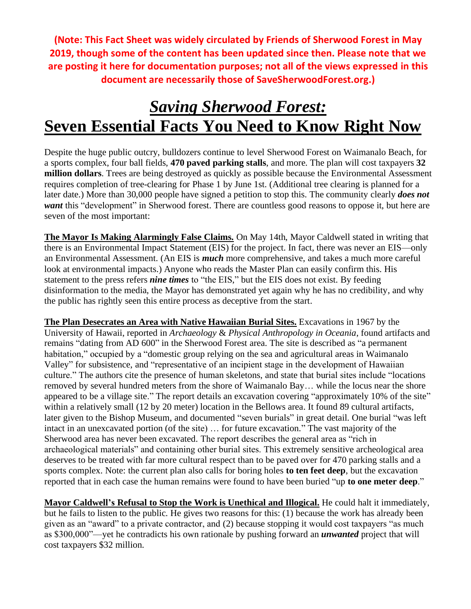**(Note: This Fact Sheet was widely circulated by Friends of Sherwood Forest in May 2019, though some of the content has been updated since then. Please note that we are posting it here for documentation purposes; not all of the views expressed in this document are necessarily those of SaveSherwoodForest.org.)**

## *Saving Sherwood Forest:* **Seven Essential Facts You Need to Know Right Now**

Despite the huge public outcry, bulldozers continue to level Sherwood Forest on Waimanalo Beach, for a sports complex, four ball fields, **470 paved parking stalls**, and more. The plan will cost taxpayers **32 million dollars**. Trees are being destroyed as quickly as possible because the Environmental Assessment requires completion of tree-clearing for Phase 1 by June 1st. (Additional tree clearing is planned for a later date.) More than 30,000 people have signed a petition to stop this. The community clearly *does not want* this "development" in Sherwood forest. There are countless good reasons to oppose it, but here are seven of the most important:

**The Mayor Is Making Alarmingly False Claims.** On May 14th, Mayor Caldwell stated in writing that there is an Environmental Impact Statement (EIS) for the project. In fact, there was never an EIS—only an Environmental Assessment. (An EIS is *much* more comprehensive, and takes a much more careful look at environmental impacts.) Anyone who reads the Master Plan can easily confirm this. His statement to the press refers *nine times* to "the EIS," but the EIS does not exist. By feeding disinformation to the media, the Mayor has demonstrated yet again why he has no credibility, and why the public has rightly seen this entire process as deceptive from the start.

**The Plan Desecrates an Area with Native Hawaiian Burial Sites.** Excavations in 1967 by the University of Hawaii, reported in *Archaeology* & *Physical Anthropology in Oceania*, found artifacts and remains "dating from AD 600" in the Sherwood Forest area. The site is described as "a permanent habitation," occupied by a "domestic group relying on the sea and agricultural areas in Waimanalo Valley" for subsistence, and "representative of an incipient stage in the development of Hawaiian culture." The authors cite the presence of human skeletons, and state that burial sites include "locations removed by several hundred meters from the shore of Waimanalo Bay… while the locus near the shore appeared to be a village site." The report details an excavation covering "approximately 10% of the site" within a relatively small (12 by 20 meter) location in the Bellows area. It found 89 cultural artifacts, later given to the Bishop Museum, and documented "seven burials" in great detail. One burial "was left intact in an unexcavated portion (of the site) … for future excavation." The vast majority of the Sherwood area has never been excavated. The report describes the general area as "rich in archaeological materials" and containing other burial sites. This extremely sensitive archeological area deserves to be treated with far more cultural respect than to be paved over for 470 parking stalls and a sports complex. Note: the current plan also calls for boring holes **to ten feet deep**, but the excavation reported that in each case the human remains were found to have been buried "up **to one meter deep**."

**Mayor Caldwell's Refusal to Stop the Work is Unethical and Illogical.** He could halt it immediately, but he fails to listen to the public. He gives two reasons for this: (1) because the work has already been given as an "award" to a private contractor, and (2) because stopping it would cost taxpayers "as much as \$300,000"—yet he contradicts his own rationale by pushing forward an *unwanted* project that will cost taxpayers \$32 million.